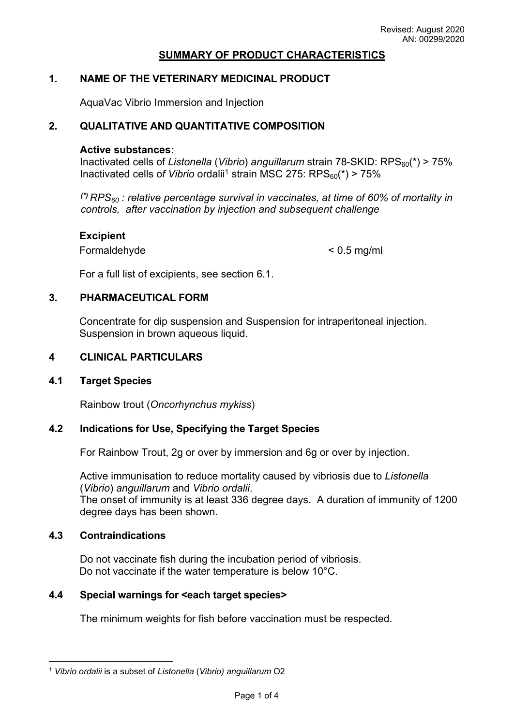### **SUMMARY OF PRODUCT CHARACTERISTICS**

#### **1. NAME OF THE VETERINARY MEDICINAL PRODUCT**

AquaVac Vibrio Immersion and Injection

## **2. QUALITATIVE AND QUANTITATIVE COMPOSITION**

#### **Active substances:**

Inactivated cells of *Listonella* (*Vibrio*) anguillarum strain 78-SKID: RPS<sub>60</sub>(\*) > 75% Inactivated cells of *Vibrio* ordalii<sup>1</sup> strain MSC 275: RPS<sub>60</sub>(\*) > 75%

*(\*) RPS60 : relative percentage survival in vaccinates, at time of 60% of mortality in controls, after vaccination by injection and subsequent challenge*

#### **Excipient**

Formaldehyde < 0.5 mg/ml

For a full list of excipients, see section 6.1.

#### **3. PHARMACEUTICAL FORM**

Concentrate for dip suspension and Suspension for intraperitoneal injection. Suspension in brown aqueous liquid.

#### **4 CLINICAL PARTICULARS**

#### **4.1 Target Species**

Rainbow trout (*Oncorhynchus mykiss*)

### **4.2 Indications for Use, Specifying the Target Species**

For Rainbow Trout, 2g or over by immersion and 6g or over by injection.

Active immunisation to reduce mortality caused by vibriosis due to *Listonella* (*Vibrio*) *anguillarum* and *Vibrio ordalii*. The onset of immunity is at least 336 degree days. A duration of immunity of 1200

degree days has been shown.

## **4.3 Contraindications**

Do not vaccinate fish during the incubation period of vibriosis. Do not vaccinate if the water temperature is below 10°C.

### **4.4 Special warnings for <each target species>**

The minimum weights for fish before vaccination must be respected.

<sup>1</sup> *Vibrio ordalii* is a subset of *Listonella* (*Vibrio) anguillarum* O2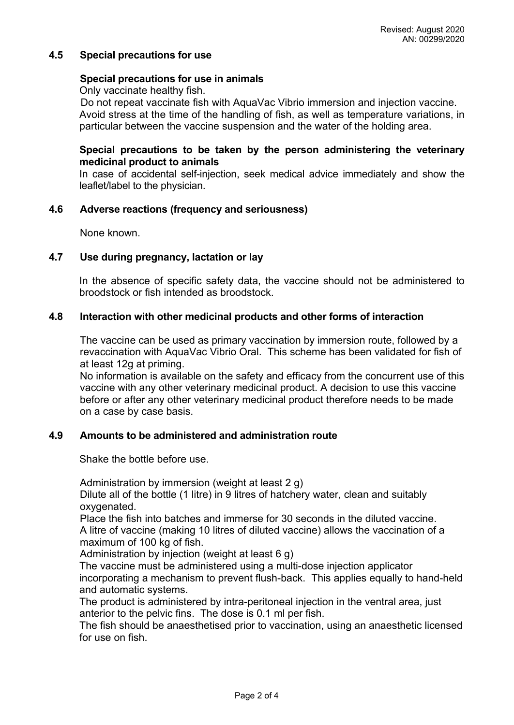## **4.5 Special precautions for use**

### **Special precautions for use in animals**

Only vaccinate healthy fish.

Do not repeat vaccinate fish with AquaVac Vibrio immersion and injection vaccine. Avoid stress at the time of the handling of fish, as well as temperature variations, in particular between the vaccine suspension and the water of the holding area.

## **Special precautions to be taken by the person administering the veterinary medicinal product to animals**

In case of accidental self-injection, seek medical advice immediately and show the leaflet/label to the physician.

### **4.6 Adverse reactions (frequency and seriousness)**

None known.

### **4.7 Use during pregnancy, lactation or lay**

In the absence of specific safety data, the vaccine should not be administered to broodstock or fish intended as broodstock.

### **4.8 Interaction with other medicinal products and other forms of interaction**

The vaccine can be used as primary vaccination by immersion route, followed by a revaccination with AquaVac Vibrio Oral. This scheme has been validated for fish of at least 12g at priming.

No information is available on the safety and efficacy from the concurrent use of this vaccine with any other veterinary medicinal product. A decision to use this vaccine before or after any other veterinary medicinal product therefore needs to be made on a case by case basis.

#### **4.9 Amounts to be administered and administration route**

Shake the bottle before use.

Administration by immersion (weight at least 2 g)

Dilute all of the bottle (1 litre) in 9 litres of hatchery water, clean and suitably oxygenated.

Place the fish into batches and immerse for 30 seconds in the diluted vaccine. A litre of vaccine (making 10 litres of diluted vaccine) allows the vaccination of a maximum of 100 kg of fish.

Administration by injection (weight at least 6 g)

The vaccine must be administered using a multi-dose injection applicator incorporating a mechanism to prevent flush-back. This applies equally to hand-held and automatic systems.

The product is administered by intra-peritoneal injection in the ventral area, just anterior to the pelvic fins. The dose is 0.1 ml per fish.

The fish should be anaesthetised prior to vaccination, using an anaesthetic licensed for use on fish.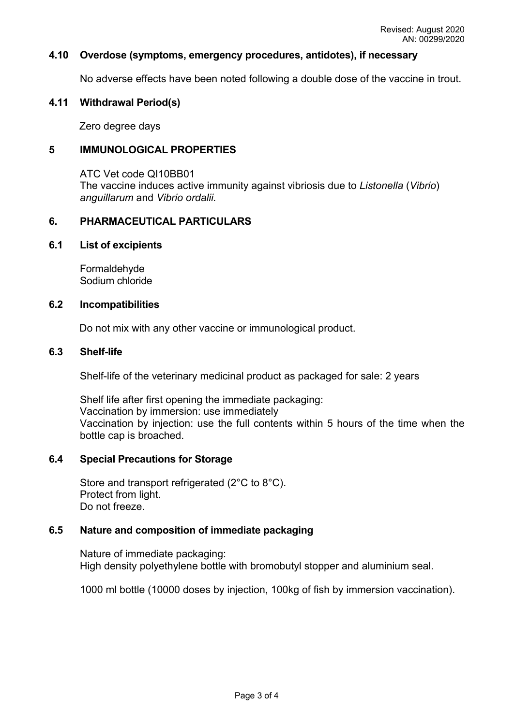### **4.10 Overdose (symptoms, emergency procedures, antidotes), if necessary**

No adverse effects have been noted following a double dose of the vaccine in trout.

### **4.11 Withdrawal Period(s)**

Zero degree days

## **5 IMMUNOLOGICAL PROPERTIES**

ATC Vet code QI10BB01 The vaccine induces active immunity against vibriosis due to *Listonella* (*Vibrio*) *anguillarum* and *Vibrio ordalii.*

### **6. PHARMACEUTICAL PARTICULARS**

#### **6.1 List of excipients**

Formaldehyde Sodium chloride

### **6.2 Incompatibilities**

Do not mix with any other vaccine or immunological product.

#### **6.3 Shelf-life**

Shelf-life of the veterinary medicinal product as packaged for sale: 2 years

Shelf life after first opening the immediate packaging: Vaccination by immersion: use immediately Vaccination by injection: use the full contents within 5 hours of the time when the bottle cap is broached.

## **6.4 Special Precautions for Storage**

Store and transport refrigerated (2°C to 8°C). Protect from light. Do not freeze.

#### **6.5 Nature and composition of immediate packaging**

Nature of immediate packaging: High density polyethylene bottle with bromobutyl stopper and aluminium seal.

1000 ml bottle (10000 doses by injection, 100kg of fish by immersion vaccination).